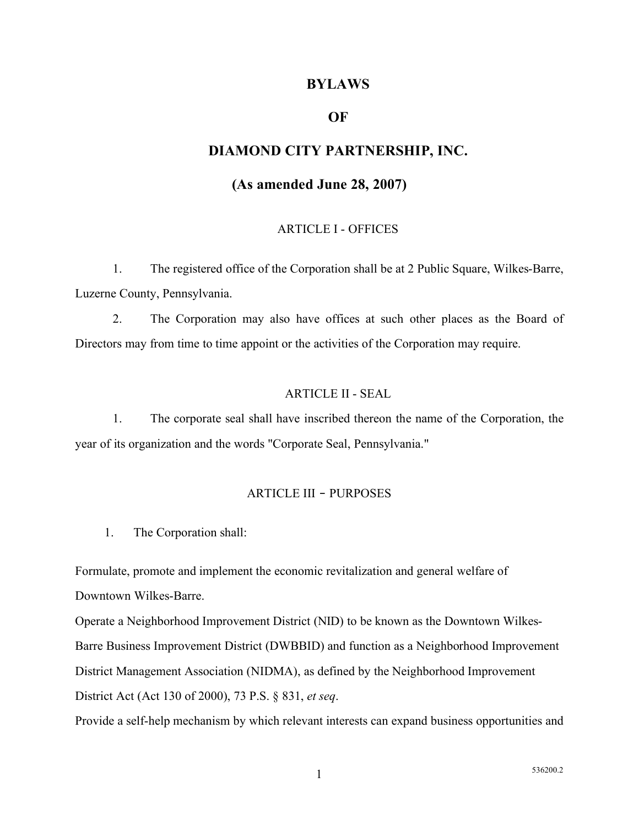## **BYLAWS**

## **OF**

# **DIAMOND CITY PARTNERSHIP, INC.**

# **(As amended June 28, 2007)**

#### ARTICLE I - OFFICES

1. The registered office of the Corporation shall be at 2 Public Square, Wilkes-Barre, Luzerne County, Pennsylvania.

2. The Corporation may also have offices at such other places as the Board of Directors may from time to time appoint or the activities of the Corporation may require.

#### ARTICLE II - SEAL

1. The corporate seal shall have inscribed thereon the name of the Corporation, the year of its organization and the words "Corporate Seal, Pennsylvania."

#### ARTICLE III ‑ PURPOSES

1. The Corporation shall:

Formulate, promote and implement the economic revitalization and general welfare of Downtown Wilkes-Barre.

Operate a Neighborhood Improvement District (NID) to be known as the Downtown Wilkes-Barre Business Improvement District (DWBBID) and function as a Neighborhood Improvement District Management Association (NIDMA), as defined by the Neighborhood Improvement District Act (Act 130 of 2000), 73 P.S. § 831, *et seq*.

Provide a self-help mechanism by which relevant interests can expand business opportunities and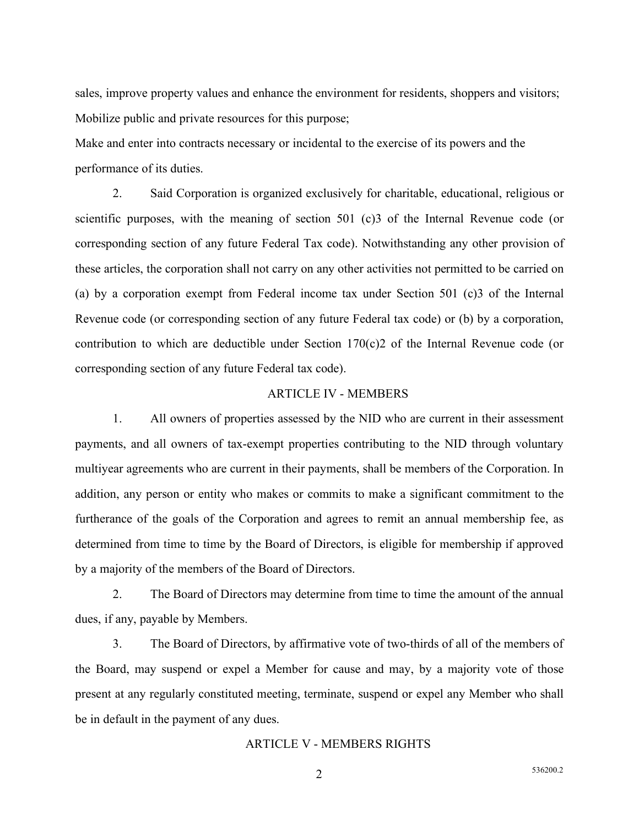sales, improve property values and enhance the environment for residents, shoppers and visitors; Mobilize public and private resources for this purpose;

Make and enter into contracts necessary or incidental to the exercise of its powers and the performance of its duties.

2. Said Corporation is organized exclusively for charitable, educational, religious or scientific purposes, with the meaning of section 501 (c)3 of the Internal Revenue code (or corresponding section of any future Federal Tax code). Notwithstanding any other provision of these articles, the corporation shall not carry on any other activities not permitted to be carried on (a) by a corporation exempt from Federal income tax under Section 501 (c)3 of the Internal Revenue code (or corresponding section of any future Federal tax code) or (b) by a corporation, contribution to which are deductible under Section 170(c)2 of the Internal Revenue code (or corresponding section of any future Federal tax code).

#### ARTICLE IV - MEMBERS

1. All owners of properties assessed by the NID who are current in their assessment payments, and all owners of tax-exempt properties contributing to the NID through voluntary multiyear agreements who are current in their payments, shall be members of the Corporation. In addition, any person or entity who makes or commits to make a significant commitment to the furtherance of the goals of the Corporation and agrees to remit an annual membership fee, as determined from time to time by the Board of Directors, is eligible for membership if approved by a majority of the members of the Board of Directors.

2. The Board of Directors may determine from time to time the amount of the annual dues, if any, payable by Members.

3. The Board of Directors, by affirmative vote of two-thirds of all of the members of the Board, may suspend or expel a Member for cause and may, by a majority vote of those present at any regularly constituted meeting, terminate, suspend or expel any Member who shall be in default in the payment of any dues.

### ARTICLE V - MEMBERS RIGHTS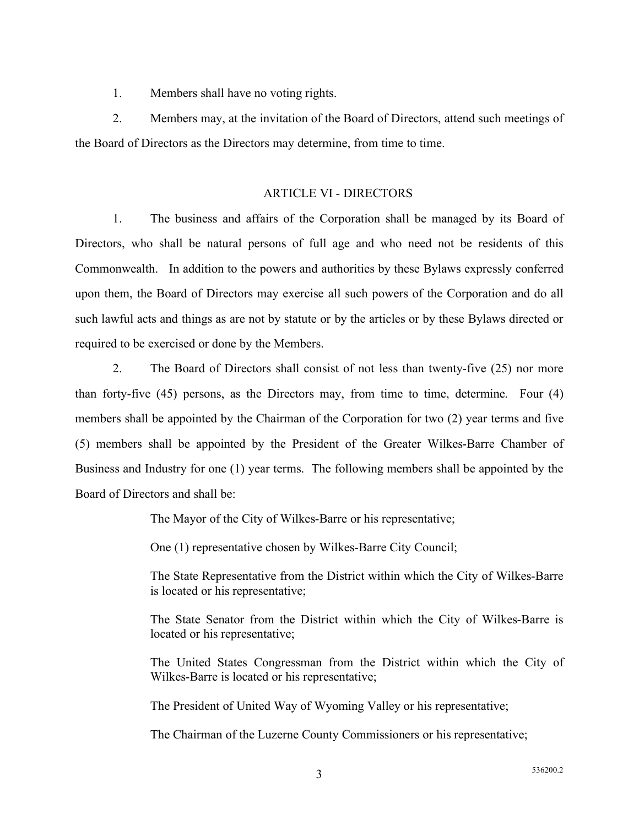1. Members shall have no voting rights.

2. Members may, at the invitation of the Board of Directors, attend such meetings of the Board of Directors as the Directors may determine, from time to time.

## ARTICLE VI - DIRECTORS

1. The business and affairs of the Corporation shall be managed by its Board of Directors, who shall be natural persons of full age and who need not be residents of this Commonwealth. In addition to the powers and authorities by these Bylaws expressly conferred upon them, the Board of Directors may exercise all such powers of the Corporation and do all such lawful acts and things as are not by statute or by the articles or by these Bylaws directed or required to be exercised or done by the Members.

2. The Board of Directors shall consist of not less than twenty-five (25) nor more than forty-five (45) persons, as the Directors may, from time to time, determine. Four (4) members shall be appointed by the Chairman of the Corporation for two (2) year terms and five (5) members shall be appointed by the President of the Greater Wilkes-Barre Chamber of Business and Industry for one (1) year terms. The following members shall be appointed by the Board of Directors and shall be:

The Mayor of the City of Wilkes-Barre or his representative;

One (1) representative chosen by Wilkes-Barre City Council;

The State Representative from the District within which the City of Wilkes-Barre is located or his representative;

The State Senator from the District within which the City of Wilkes-Barre is located or his representative;

The United States Congressman from the District within which the City of Wilkes-Barre is located or his representative;

The President of United Way of Wyoming Valley or his representative;

The Chairman of the Luzerne County Commissioners or his representative;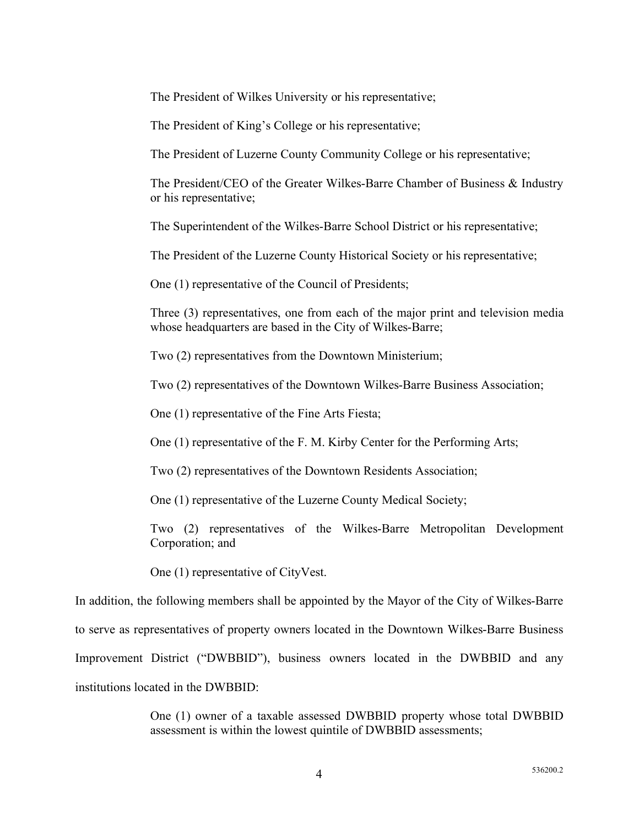The President of Wilkes University or his representative;

The President of King's College or his representative;

The President of Luzerne County Community College or his representative;

The President/CEO of the Greater Wilkes-Barre Chamber of Business & Industry or his representative;

The Superintendent of the Wilkes-Barre School District or his representative;

The President of the Luzerne County Historical Society or his representative;

One (1) representative of the Council of Presidents;

Three (3) representatives, one from each of the major print and television media whose headquarters are based in the City of Wilkes-Barre;

Two (2) representatives from the Downtown Ministerium;

Two (2) representatives of the Downtown Wilkes-Barre Business Association;

One (1) representative of the Fine Arts Fiesta;

One (1) representative of the F. M. Kirby Center for the Performing Arts;

Two (2) representatives of the Downtown Residents Association;

One (1) representative of the Luzerne County Medical Society;

Two (2) representatives of the Wilkes-Barre Metropolitan Development Corporation; and

One (1) representative of CityVest.

In addition, the following members shall be appointed by the Mayor of the City of Wilkes-Barre to serve as representatives of property owners located in the Downtown Wilkes-Barre Business Improvement District ("DWBBID"), business owners located in the DWBBID and any institutions located in the DWBBID:

> One (1) owner of a taxable assessed DWBBID property whose total DWBBID assessment is within the lowest quintile of DWBBID assessments;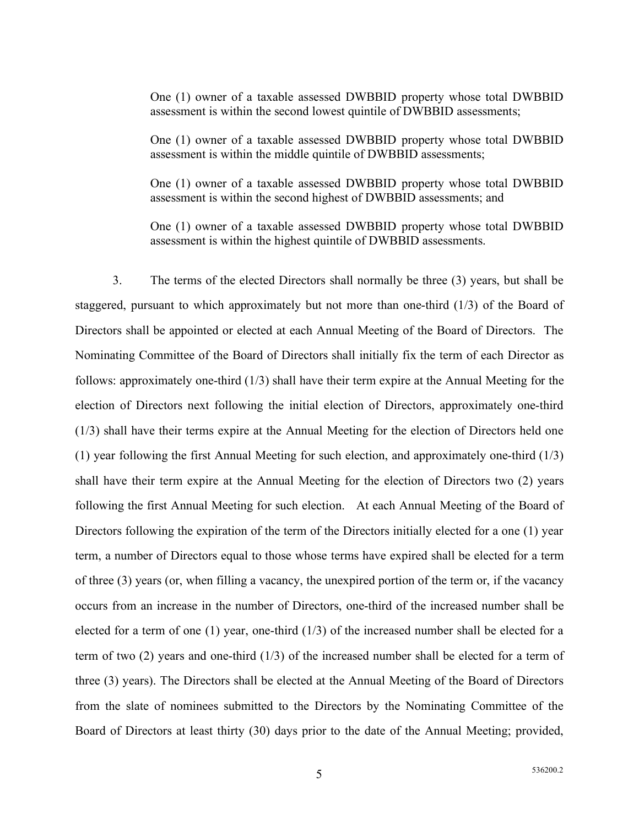One (1) owner of a taxable assessed DWBBID property whose total DWBBID assessment is within the second lowest quintile of DWBBID assessments;

One (1) owner of a taxable assessed DWBBID property whose total DWBBID assessment is within the middle quintile of DWBBID assessments;

One (1) owner of a taxable assessed DWBBID property whose total DWBBID assessment is within the second highest of DWBBID assessments; and

One (1) owner of a taxable assessed DWBBID property whose total DWBBID assessment is within the highest quintile of DWBBID assessments.

3. The terms of the elected Directors shall normally be three (3) years, but shall be staggered, pursuant to which approximately but not more than one-third (1/3) of the Board of Directors shall be appointed or elected at each Annual Meeting of the Board of Directors. The Nominating Committee of the Board of Directors shall initially fix the term of each Director as follows: approximately one-third (1/3) shall have their term expire at the Annual Meeting for the election of Directors next following the initial election of Directors, approximately one-third (1/3) shall have their terms expire at the Annual Meeting for the election of Directors held one (1) year following the first Annual Meeting for such election, and approximately one-third (1/3) shall have their term expire at the Annual Meeting for the election of Directors two (2) years following the first Annual Meeting for such election. At each Annual Meeting of the Board of Directors following the expiration of the term of the Directors initially elected for a one (1) year term, a number of Directors equal to those whose terms have expired shall be elected for a term of three (3) years (or, when filling a vacancy, the unexpired portion of the term or, if the vacancy occurs from an increase in the number of Directors, one-third of the increased number shall be elected for a term of one (1) year, one-third (1/3) of the increased number shall be elected for a term of two (2) years and one-third (1/3) of the increased number shall be elected for a term of three (3) years). The Directors shall be elected at the Annual Meeting of the Board of Directors from the slate of nominees submitted to the Directors by the Nominating Committee of the Board of Directors at least thirty (30) days prior to the date of the Annual Meeting; provided,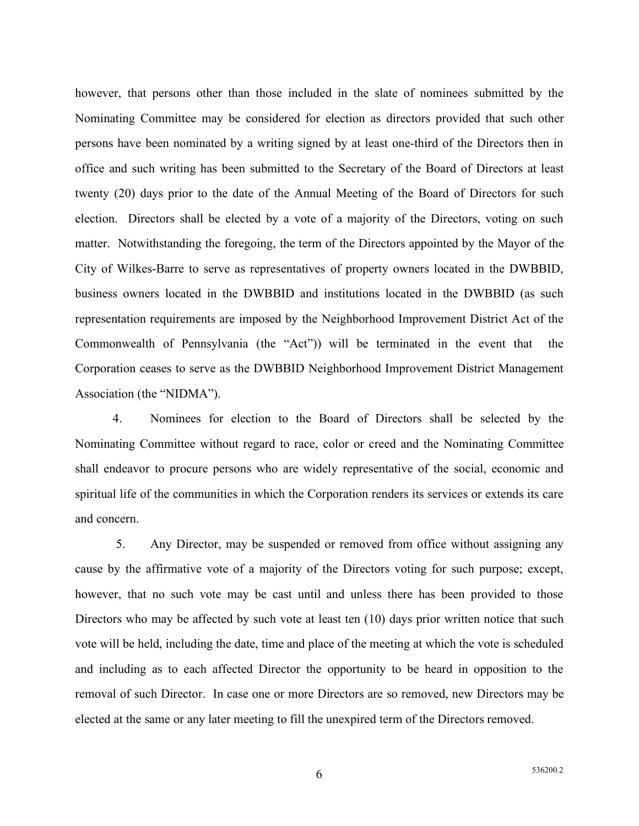however, that persons other than those included in the slate of nominees submitted by the Nominating Committee may be considered for election as directors provided that such other persons have been nominated by a writing signed by at least one-third of the Directors then in office and such writing has been submitted to the Secretary of the Board of Directors at least twenty (20) days prior to the date of the Annual Meeting of the Board of Directors for such election. Directors shall be elected by a vote of a majority of the Directors, voting on such matter. Notwithstanding the foregoing, the term of the Directors appointed by the Mayor of the City of Wilkes-Barre to serve as representatives of property owners located in the DWBBID, business owners located in the DWBBID and institutions located in the DWBBID (as such representation requirements are imposed by the Neighborhood Improvement District Act of the Commonwealth of Pennsylvania (the "Act")) will be terminated in the event that the Corporation ceases to serve as the DWBBID Neighborhood Improvement District Management Association (the "NIDMA").

4. Nominees for election to the Board of Directors shall be selected by the Nominating Committee without regard to race, color or creed and the Nominating Committee shall endeavor to procure persons who are widely representative of the social, economic and spiritual life of the communities in which the Corporation renders its services or extends its care and concern.

 5. Any Director, may be suspended or removed from office without assigning any cause by the affirmative vote of a majority of the Directors voting for such purpose; except, however, that no such vote may be cast until and unless there has been provided to those Directors who may be affected by such vote at least ten (10) days prior written notice that such vote will be held, including the date, time and place of the meeting at which the vote is scheduled and including as to each affected Director the opportunity to be heard in opposition to the removal of such Director. In case one or more Directors are so removed, new Directors may be elected at the same or any later meeting to fill the unexpired term of the Directors removed.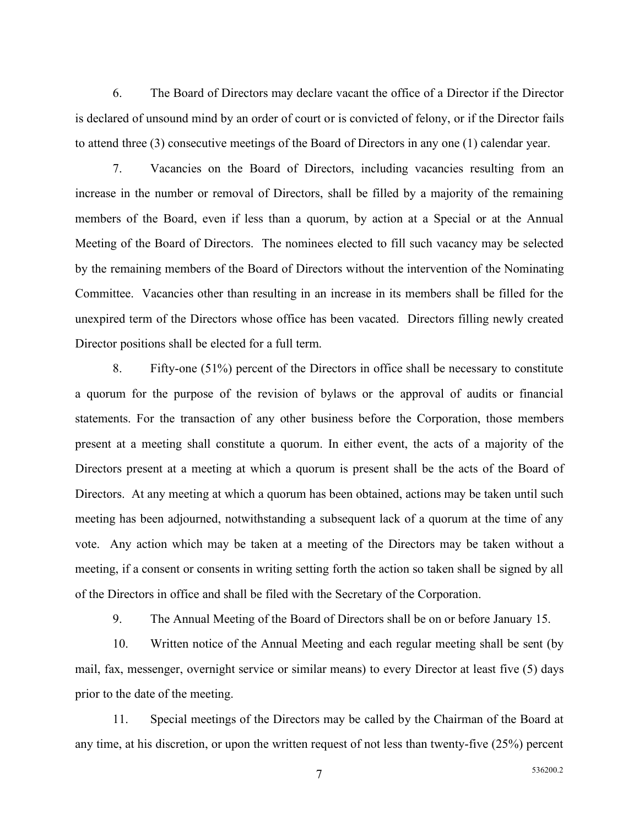6. The Board of Directors may declare vacant the office of a Director if the Director is declared of unsound mind by an order of court or is convicted of felony, or if the Director fails to attend three (3) consecutive meetings of the Board of Directors in any one (1) calendar year.

7. Vacancies on the Board of Directors, including vacancies resulting from an increase in the number or removal of Directors, shall be filled by a majority of the remaining members of the Board, even if less than a quorum, by action at a Special or at the Annual Meeting of the Board of Directors. The nominees elected to fill such vacancy may be selected by the remaining members of the Board of Directors without the intervention of the Nominating Committee. Vacancies other than resulting in an increase in its members shall be filled for the unexpired term of the Directors whose office has been vacated. Directors filling newly created Director positions shall be elected for a full term.

8. Fifty-one (51%) percent of the Directors in office shall be necessary to constitute a quorum for the purpose of the revision of bylaws or the approval of audits or financial statements. For the transaction of any other business before the Corporation, those members present at a meeting shall constitute a quorum. In either event, the acts of a majority of the Directors present at a meeting at which a quorum is present shall be the acts of the Board of Directors. At any meeting at which a quorum has been obtained, actions may be taken until such meeting has been adjourned, notwithstanding a subsequent lack of a quorum at the time of any vote. Any action which may be taken at a meeting of the Directors may be taken without a meeting, if a consent or consents in writing setting forth the action so taken shall be signed by all of the Directors in office and shall be filed with the Secretary of the Corporation.

9. The Annual Meeting of the Board of Directors shall be on or before January 15.

10. Written notice of the Annual Meeting and each regular meeting shall be sent (by mail, fax, messenger, overnight service or similar means) to every Director at least five (5) days prior to the date of the meeting.

11. Special meetings of the Directors may be called by the Chairman of the Board at any time, at his discretion, or upon the written request of not less than twenty-five (25%) percent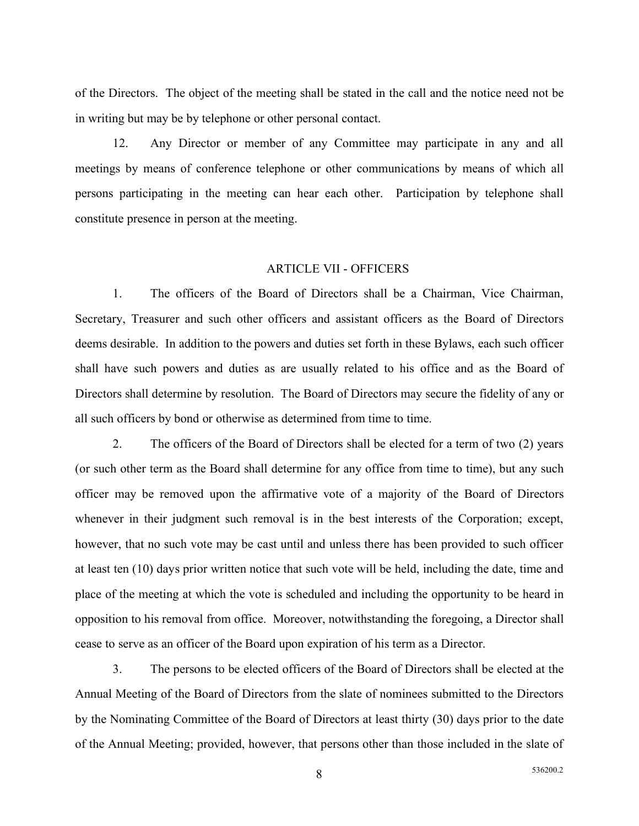of the Directors. The object of the meeting shall be stated in the call and the notice need not be in writing but may be by telephone or other personal contact.

12. Any Director or member of any Committee may participate in any and all meetings by means of conference telephone or other communications by means of which all persons participating in the meeting can hear each other. Participation by telephone shall constitute presence in person at the meeting.

#### ARTICLE VII - OFFICERS

1. The officers of the Board of Directors shall be a Chairman, Vice Chairman, Secretary, Treasurer and such other officers and assistant officers as the Board of Directors deems desirable. In addition to the powers and duties set forth in these Bylaws, each such officer shall have such powers and duties as are usually related to his office and as the Board of Directors shall determine by resolution. The Board of Directors may secure the fidelity of any or all such officers by bond or otherwise as determined from time to time.

2. The officers of the Board of Directors shall be elected for a term of two (2) years (or such other term as the Board shall determine for any office from time to time), but any such officer may be removed upon the affirmative vote of a majority of the Board of Directors whenever in their judgment such removal is in the best interests of the Corporation; except, however, that no such vote may be cast until and unless there has been provided to such officer at least ten (10) days prior written notice that such vote will be held, including the date, time and place of the meeting at which the vote is scheduled and including the opportunity to be heard in opposition to his removal from office. Moreover, notwithstanding the foregoing, a Director shall cease to serve as an officer of the Board upon expiration of his term as a Director.

3. The persons to be elected officers of the Board of Directors shall be elected at the Annual Meeting of the Board of Directors from the slate of nominees submitted to the Directors by the Nominating Committee of the Board of Directors at least thirty (30) days prior to the date of the Annual Meeting; provided, however, that persons other than those included in the slate of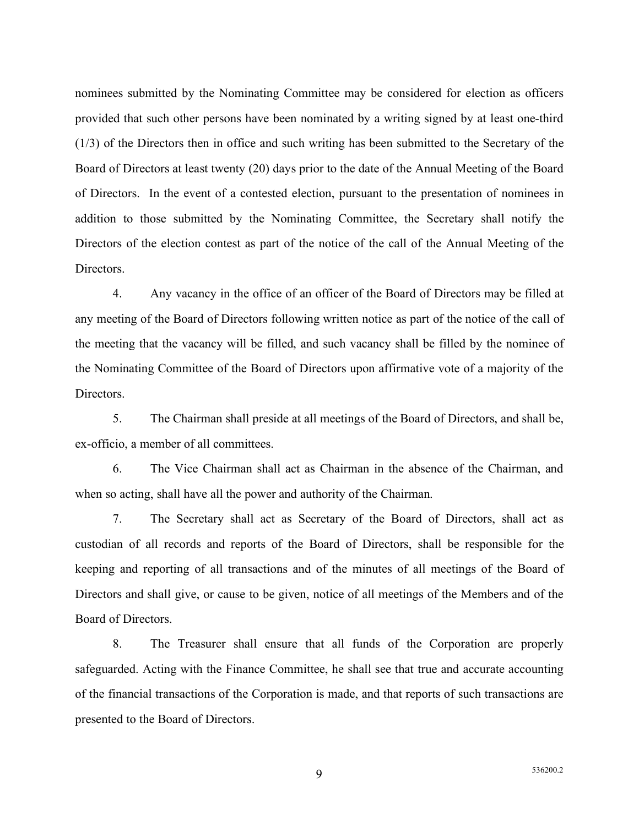nominees submitted by the Nominating Committee may be considered for election as officers provided that such other persons have been nominated by a writing signed by at least one-third (1/3) of the Directors then in office and such writing has been submitted to the Secretary of the Board of Directors at least twenty (20) days prior to the date of the Annual Meeting of the Board of Directors. In the event of a contested election, pursuant to the presentation of nominees in addition to those submitted by the Nominating Committee, the Secretary shall notify the Directors of the election contest as part of the notice of the call of the Annual Meeting of the Directors.

4. Any vacancy in the office of an officer of the Board of Directors may be filled at any meeting of the Board of Directors following written notice as part of the notice of the call of the meeting that the vacancy will be filled, and such vacancy shall be filled by the nominee of the Nominating Committee of the Board of Directors upon affirmative vote of a majority of the Directors.

5. The Chairman shall preside at all meetings of the Board of Directors, and shall be, ex-officio, a member of all committees.

6. The Vice Chairman shall act as Chairman in the absence of the Chairman, and when so acting, shall have all the power and authority of the Chairman.

7. The Secretary shall act as Secretary of the Board of Directors, shall act as custodian of all records and reports of the Board of Directors, shall be responsible for the keeping and reporting of all transactions and of the minutes of all meetings of the Board of Directors and shall give, or cause to be given, notice of all meetings of the Members and of the Board of Directors.

8. The Treasurer shall ensure that all funds of the Corporation are properly safeguarded. Acting with the Finance Committee, he shall see that true and accurate accounting of the financial transactions of the Corporation is made, and that reports of such transactions are presented to the Board of Directors.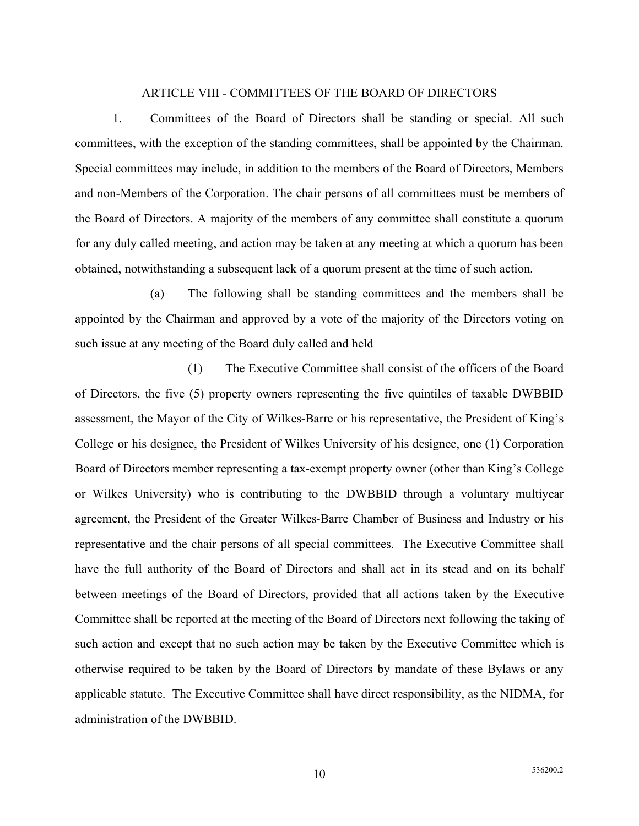### ARTICLE VIII - COMMITTEES OF THE BOARD OF DIRECTORS

1. Committees of the Board of Directors shall be standing or special. All such committees, with the exception of the standing committees, shall be appointed by the Chairman. Special committees may include, in addition to the members of the Board of Directors, Members and non-Members of the Corporation. The chair persons of all committees must be members of the Board of Directors. A majority of the members of any committee shall constitute a quorum for any duly called meeting, and action may be taken at any meeting at which a quorum has been obtained, notwithstanding a subsequent lack of a quorum present at the time of such action.

(a) The following shall be standing committees and the members shall be appointed by the Chairman and approved by a vote of the majority of the Directors voting on such issue at any meeting of the Board duly called and held

(1) The Executive Committee shall consist of the officers of the Board of Directors, the five (5) property owners representing the five quintiles of taxable DWBBID assessment, the Mayor of the City of Wilkes-Barre or his representative, the President of King's College or his designee, the President of Wilkes University of his designee, one (1) Corporation Board of Directors member representing a tax-exempt property owner (other than King's College or Wilkes University) who is contributing to the DWBBID through a voluntary multiyear agreement, the President of the Greater Wilkes-Barre Chamber of Business and Industry or his representative and the chair persons of all special committees. The Executive Committee shall have the full authority of the Board of Directors and shall act in its stead and on its behalf between meetings of the Board of Directors, provided that all actions taken by the Executive Committee shall be reported at the meeting of the Board of Directors next following the taking of such action and except that no such action may be taken by the Executive Committee which is otherwise required to be taken by the Board of Directors by mandate of these Bylaws or any applicable statute. The Executive Committee shall have direct responsibility, as the NIDMA, for administration of the DWBBID.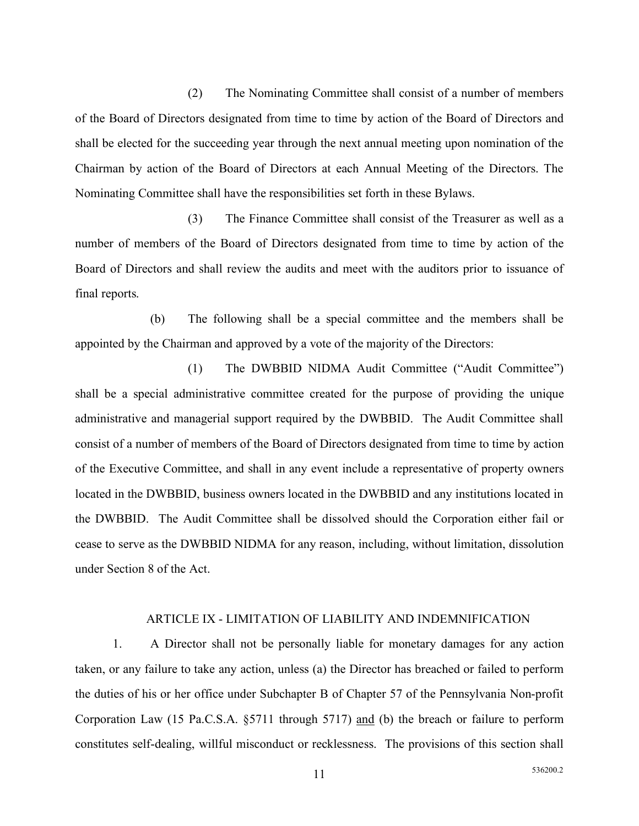(2) The Nominating Committee shall consist of a number of members of the Board of Directors designated from time to time by action of the Board of Directors and shall be elected for the succeeding year through the next annual meeting upon nomination of the Chairman by action of the Board of Directors at each Annual Meeting of the Directors. The Nominating Committee shall have the responsibilities set forth in these Bylaws.

(3) The Finance Committee shall consist of the Treasurer as well as a number of members of the Board of Directors designated from time to time by action of the Board of Directors and shall review the audits and meet with the auditors prior to issuance of final reports.

(b) The following shall be a special committee and the members shall be appointed by the Chairman and approved by a vote of the majority of the Directors:

(1) The DWBBID NIDMA Audit Committee ("Audit Committee") shall be a special administrative committee created for the purpose of providing the unique administrative and managerial support required by the DWBBID. The Audit Committee shall consist of a number of members of the Board of Directors designated from time to time by action of the Executive Committee, and shall in any event include a representative of property owners located in the DWBBID, business owners located in the DWBBID and any institutions located in the DWBBID. The Audit Committee shall be dissolved should the Corporation either fail or cease to serve as the DWBBID NIDMA for any reason, including, without limitation, dissolution under Section 8 of the Act.

#### ARTICLE IX - LIMITATION OF LIABILITY AND INDEMNIFICATION

1. A Director shall not be personally liable for monetary damages for any action taken, or any failure to take any action, unless (a) the Director has breached or failed to perform the duties of his or her office under Subchapter B of Chapter 57 of the Pennsylvania Non-profit Corporation Law (15 Pa.C.S.A. §5711 through 5717) and (b) the breach or failure to perform constitutes self-dealing, willful misconduct or recklessness. The provisions of this section shall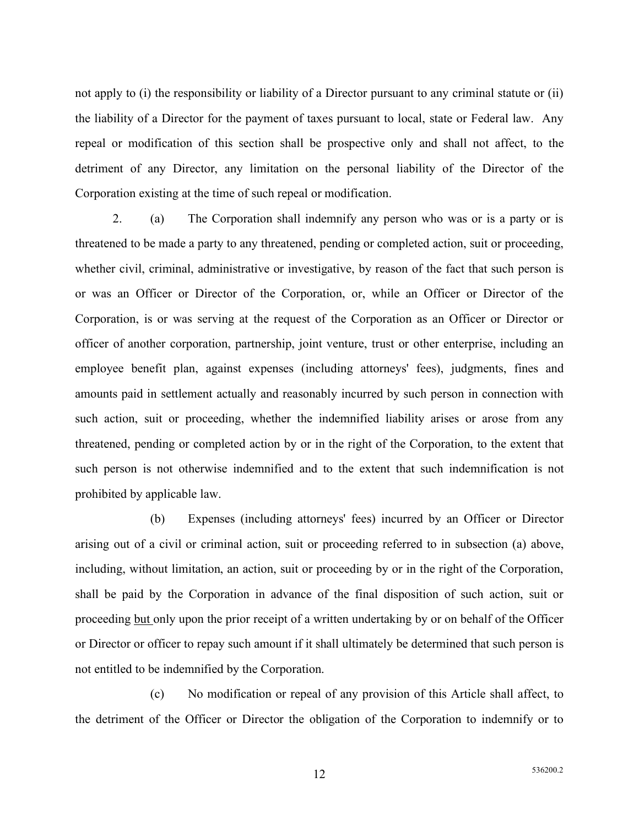not apply to (i) the responsibility or liability of a Director pursuant to any criminal statute or (ii) the liability of a Director for the payment of taxes pursuant to local, state or Federal law. Any repeal or modification of this section shall be prospective only and shall not affect, to the detriment of any Director, any limitation on the personal liability of the Director of the Corporation existing at the time of such repeal or modification.

2. (a) The Corporation shall indemnify any person who was or is a party or is threatened to be made a party to any threatened, pending or completed action, suit or proceeding, whether civil, criminal, administrative or investigative, by reason of the fact that such person is or was an Officer or Director of the Corporation, or, while an Officer or Director of the Corporation, is or was serving at the request of the Corporation as an Officer or Director or officer of another corporation, partnership, joint venture, trust or other enterprise, including an employee benefit plan, against expenses (including attorneys' fees), judgments, fines and amounts paid in settlement actually and reasonably incurred by such person in connection with such action, suit or proceeding, whether the indemnified liability arises or arose from any threatened, pending or completed action by or in the right of the Corporation, to the extent that such person is not otherwise indemnified and to the extent that such indemnification is not prohibited by applicable law.

(b) Expenses (including attorneys' fees) incurred by an Officer or Director arising out of a civil or criminal action, suit or proceeding referred to in subsection (a) above, including, without limitation, an action, suit or proceeding by or in the right of the Corporation, shall be paid by the Corporation in advance of the final disposition of such action, suit or proceeding but only upon the prior receipt of a written undertaking by or on behalf of the Officer or Director or officer to repay such amount if it shall ultimately be determined that such person is not entitled to be indemnified by the Corporation.

(c) No modification or repeal of any provision of this Article shall affect, to the detriment of the Officer or Director the obligation of the Corporation to indemnify or to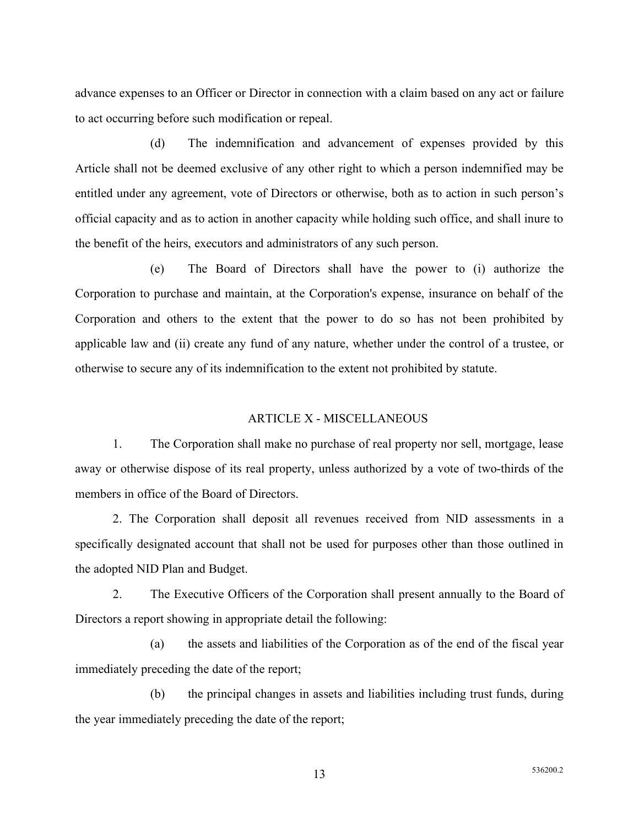advance expenses to an Officer or Director in connection with a claim based on any act or failure to act occurring before such modification or repeal.

(d) The indemnification and advancement of expenses provided by this Article shall not be deemed exclusive of any other right to which a person indemnified may be entitled under any agreement, vote of Directors or otherwise, both as to action in such person's official capacity and as to action in another capacity while holding such office, and shall inure to the benefit of the heirs, executors and administrators of any such person.

(e) The Board of Directors shall have the power to (i) authorize the Corporation to purchase and maintain, at the Corporation's expense, insurance on behalf of the Corporation and others to the extent that the power to do so has not been prohibited by applicable law and (ii) create any fund of any nature, whether under the control of a trustee, or otherwise to secure any of its indemnification to the extent not prohibited by statute.

### ARTICLE X - MISCELLANEOUS

1. The Corporation shall make no purchase of real property nor sell, mortgage, lease away or otherwise dispose of its real property, unless authorized by a vote of two-thirds of the members in office of the Board of Directors.

2. The Corporation shall deposit all revenues received from NID assessments in a specifically designated account that shall not be used for purposes other than those outlined in the adopted NID Plan and Budget.

2. The Executive Officers of the Corporation shall present annually to the Board of Directors a report showing in appropriate detail the following:

(a) the assets and liabilities of the Corporation as of the end of the fiscal year immediately preceding the date of the report;

(b) the principal changes in assets and liabilities including trust funds, during the year immediately preceding the date of the report;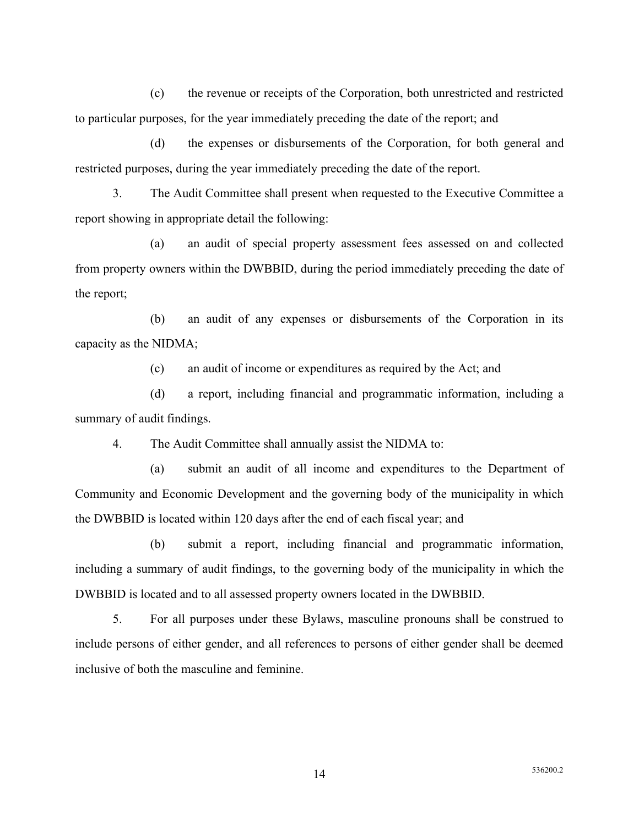(c) the revenue or receipts of the Corporation, both unrestricted and restricted to particular purposes, for the year immediately preceding the date of the report; and

(d) the expenses or disbursements of the Corporation, for both general and restricted purposes, during the year immediately preceding the date of the report.

3. The Audit Committee shall present when requested to the Executive Committee a report showing in appropriate detail the following:

(a) an audit of special property assessment fees assessed on and collected from property owners within the DWBBID, during the period immediately preceding the date of the report;

(b) an audit of any expenses or disbursements of the Corporation in its capacity as the NIDMA;

(c) an audit of income or expenditures as required by the Act; and

(d) a report, including financial and programmatic information, including a summary of audit findings.

4. The Audit Committee shall annually assist the NIDMA to:

(a) submit an audit of all income and expenditures to the Department of Community and Economic Development and the governing body of the municipality in which the DWBBID is located within 120 days after the end of each fiscal year; and

(b) submit a report, including financial and programmatic information, including a summary of audit findings, to the governing body of the municipality in which the DWBBID is located and to all assessed property owners located in the DWBBID.

5. For all purposes under these Bylaws, masculine pronouns shall be construed to include persons of either gender, and all references to persons of either gender shall be deemed inclusive of both the masculine and feminine.